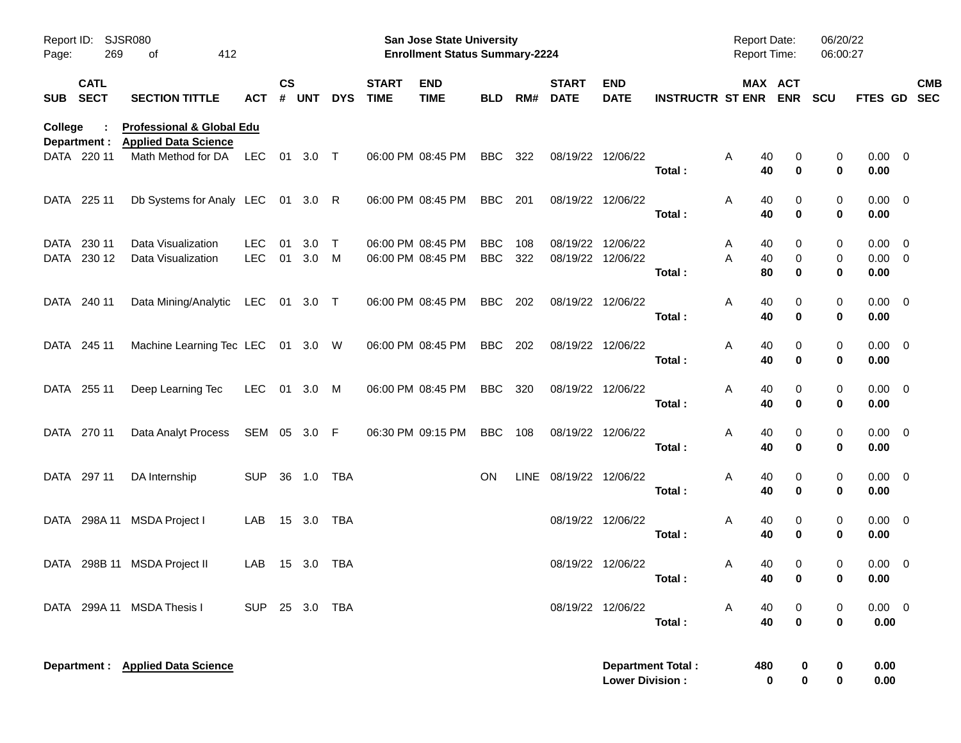| Page:          | <b>SJSR080</b><br>Report ID:<br>269<br>412<br>οf |                                                                     |                          |                    |            |             |                             | <b>San Jose State University</b><br><b>Enrollment Status Summary-2224</b> |                          | Report Date:<br><b>Report Time:</b> |                                        | 06/20/22<br>06:00:27      |                          |                          |                       |               |                                    |            |
|----------------|--------------------------------------------------|---------------------------------------------------------------------|--------------------------|--------------------|------------|-------------|-----------------------------|---------------------------------------------------------------------------|--------------------------|-------------------------------------|----------------------------------------|---------------------------|--------------------------|--------------------------|-----------------------|---------------|------------------------------------|------------|
| SUB SECT       | <b>CATL</b>                                      | <b>SECTION TITTLE</b>                                               | ACT                      | $\mathsf{cs}$<br># | <b>UNT</b> | <b>DYS</b>  | <b>START</b><br><b>TIME</b> | <b>END</b><br><b>TIME</b>                                                 | <b>BLD</b>               | RM#                                 | <b>START</b><br><b>DATE</b>            | <b>END</b><br><b>DATE</b> | <b>INSTRUCTR ST ENR</b>  |                          | MAX ACT<br><b>ENR</b> | <b>SCU</b>    | FTES GD SEC                        | <b>CMB</b> |
| <b>College</b> | Department :                                     | <b>Professional &amp; Global Edu</b><br><b>Applied Data Science</b> |                          |                    |            |             |                             |                                                                           |                          |                                     |                                        |                           |                          |                          |                       |               |                                    |            |
|                | DATA 220 11                                      | Math Method for DA                                                  | LEC                      |                    | 01 3.0 T   |             | 06:00 PM 08:45 PM           |                                                                           | BBC                      | 322                                 | 08/19/22 12/06/22                      |                           | Total:                   | Α<br>40<br>40            | 0<br>$\bf{0}$         | 0<br>0        | $0.00 \t 0$<br>0.00                |            |
|                | DATA 225 11                                      | Db Systems for Analy LEC 01 3.0 R                                   |                          |                    |            |             |                             | 06:00 PM 08:45 PM                                                         | BBC                      | 201                                 | 08/19/22 12/06/22                      |                           | Total:                   | Α<br>40<br>40            | 0<br>$\bf{0}$         | 0<br>0        | $0.00 \t 0$<br>0.00                |            |
| DATA           | 230 11<br>DATA 230 12                            | Data Visualization<br>Data Visualization                            | <b>LEC</b><br><b>LEC</b> | 01<br>01           | 3.0<br>3.0 | $\top$<br>M |                             | 06:00 PM 08:45 PM<br>06:00 PM 08:45 PM                                    | <b>BBC</b><br><b>BBC</b> | 108<br>322                          | 08/19/22 12/06/22<br>08/19/22 12/06/22 |                           | Total:                   | 40<br>A<br>A<br>40<br>80 | 0<br>0<br>$\mathbf 0$ | 0<br>0<br>0   | $0.00 \t 0$<br>$0.00 \t 0$<br>0.00 |            |
|                | DATA 240 11                                      | Data Mining/Analytic                                                | LEC 01 3.0 T             |                    |            |             |                             | 06:00 PM 08:45 PM                                                         | BBC                      | 202                                 | 08/19/22 12/06/22                      |                           | Total:                   | Α<br>40<br>40            | 0<br>$\bf{0}$         | 0<br>0        | $0.00 \t 0$<br>0.00                |            |
|                | DATA 245 11                                      | Machine Learning Tec LEC 01 3.0 W                                   |                          |                    |            |             |                             | 06:00 PM 08:45 PM                                                         | BBC                      | 202                                 | 08/19/22 12/06/22                      |                           | Total:                   | Α<br>40<br>40            | 0<br>$\bf{0}$         | 0<br>0        | $0.00 \t 0$<br>0.00                |            |
|                | DATA 255 11                                      | Deep Learning Tec                                                   | LEC                      |                    | 01 3.0 M   |             |                             | 06:00 PM 08:45 PM                                                         | BBC                      | 320                                 | 08/19/22 12/06/22                      |                           | Total:                   | Α<br>40<br>40            | 0<br>$\bf{0}$         | 0<br>0        | $0.00 \t 0$<br>0.00                |            |
|                | DATA 270 11                                      | Data Analyt Process                                                 | SEM 05 3.0 F             |                    |            |             |                             | 06:30 PM 09:15 PM                                                         | <b>BBC</b>               | 108                                 | 08/19/22 12/06/22                      |                           | Total:                   | Α<br>40<br>40            | 0<br>$\mathbf 0$      | 0<br>0        | $0.00 \t 0$<br>0.00                |            |
|                | DATA 297 11                                      | DA Internship                                                       | <b>SUP</b>               |                    | 36 1.0     | TBA         |                             |                                                                           | <b>ON</b>                | LINE                                | 08/19/22 12/06/22                      |                           | Total:                   | Α<br>40<br>40            | 0<br>$\bf{0}$         | 0<br>0        | $0.00 \t 0$<br>0.00                |            |
|                | DATA 298A 11                                     | MSDA Project I                                                      | LAB                      |                    | 15 3.0     | TBA         |                             |                                                                           |                          |                                     | 08/19/22 12/06/22                      |                           | Total:                   | Α<br>40<br>40            | 0<br>$\mathbf 0$      | 0<br>0        | $0.00 \t 0$<br>0.00                |            |
| DATA           |                                                  | 298B 11 MSDA Project II                                             | LAB                      |                    | 15 3.0     | TBA         |                             |                                                                           |                          |                                     | 08/19/22 12/06/22                      |                           | Total:                   | 40<br>A<br>40            | 0<br>$\bf{0}$         | 0<br>0        | $0.00 \quad 0$<br>$0.00\,$         |            |
|                |                                                  | DATA 299A 11 MSDA Thesis I                                          | <b>SUP</b>               |                    | 25 3.0 TBA |             |                             |                                                                           |                          |                                     | 08/19/22 12/06/22                      |                           | Total:                   | 40<br>A<br>40            | 0<br>$\mathbf 0$      | 0<br>$\bf{0}$ | $0.00 \t 0$<br>0.00                |            |
|                |                                                  | Department : Applied Data Science                                   |                          |                    |            |             |                             |                                                                           |                          |                                     |                                        | <b>Lower Division:</b>    | <b>Department Total:</b> | 480                      | 0<br>0<br>0           | 0<br>0        | 0.00<br>0.00                       |            |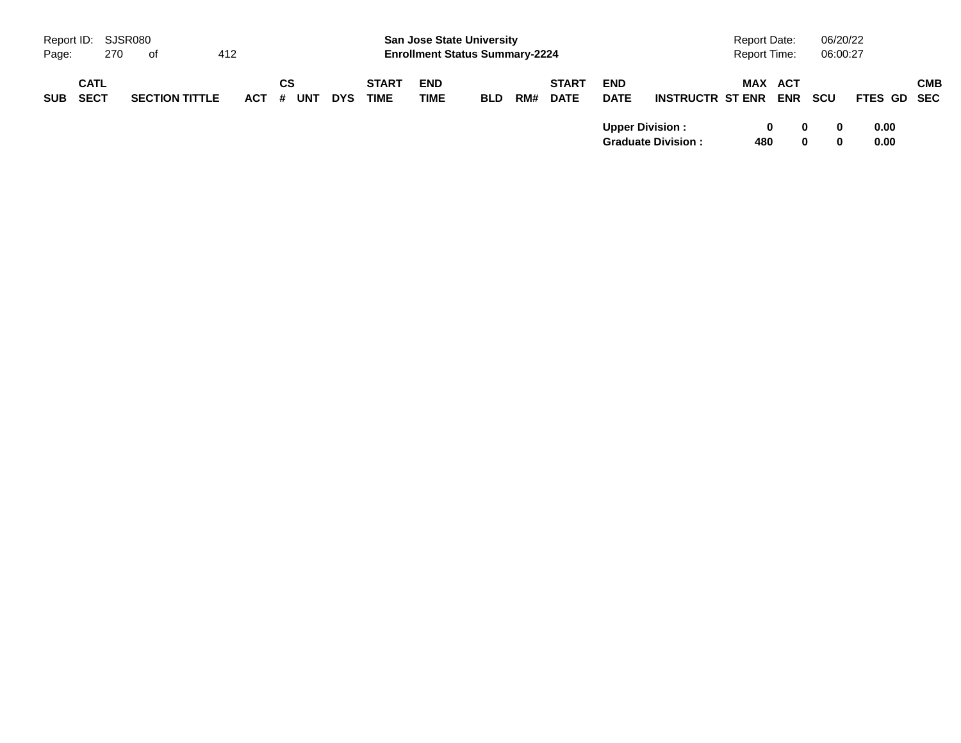|            | Report ID: SJSR080         |     |                       |     |         |    |            |            | <b>Report Date:</b>         |                                       |            |     |                             | 06/20/22                  |                           |  |                     |                       |            |          |              |            |
|------------|----------------------------|-----|-----------------------|-----|---------|----|------------|------------|-----------------------------|---------------------------------------|------------|-----|-----------------------------|---------------------------|---------------------------|--|---------------------|-----------------------|------------|----------|--------------|------------|
| Page:      |                            | 270 | . of                  | 412 |         |    |            |            |                             | <b>Enrollment Status Summary-2224</b> |            |     |                             |                           |                           |  | <b>Report Time:</b> |                       |            | 06:00:27 |              |            |
| <b>SUB</b> | <b>CATL</b><br><b>SECT</b> |     | <b>SECTION TITTLE</b> |     | $ACT$ # | СS | <b>UNT</b> | <b>DYS</b> | <b>START</b><br><b>TIME</b> | <b>END</b><br><b>TIME</b>             | <b>BLD</b> | RM# | <b>START</b><br><b>DATE</b> | <b>END</b><br><b>DATE</b> | <b>INSTRUCTR ST ENR</b>   |  |                     | MAX ACT<br><b>ENR</b> | <b>SCU</b> |          | FTES GD SEC  | <b>CMB</b> |
|            |                            |     |                       |     |         |    |            |            |                             |                                       |            |     |                             | <b>Upper Division:</b>    | <b>Graduate Division:</b> |  | 480                 | 0                     |            |          | 0.00<br>0.00 |            |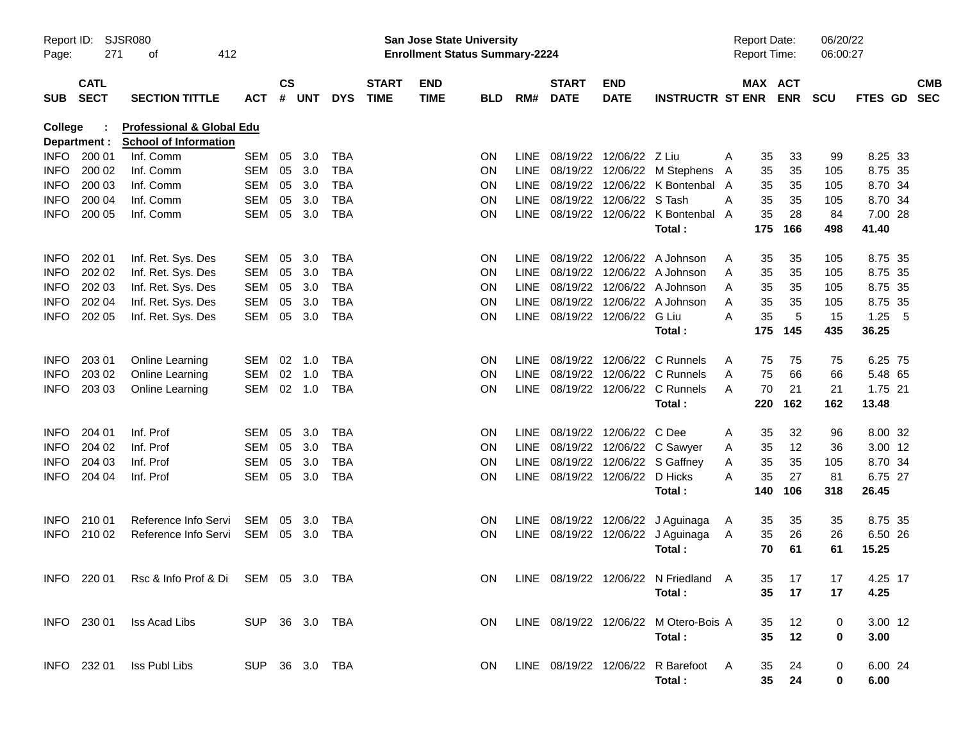| Report ID:<br>Page: | 271                        | SJSR080<br>412<br>of                                                 |                |               |       |            |                             | <b>San Jose State University</b><br><b>Enrollment Status Summary-2224</b> |            |             |                             |                                |                                         |   | <b>Report Date:</b><br><b>Report Time:</b> | 06/20/22<br>06:00:27 |             |                          |
|---------------------|----------------------------|----------------------------------------------------------------------|----------------|---------------|-------|------------|-----------------------------|---------------------------------------------------------------------------|------------|-------------|-----------------------------|--------------------------------|-----------------------------------------|---|--------------------------------------------|----------------------|-------------|--------------------------|
| <b>SUB</b>          | <b>CATL</b><br><b>SECT</b> | <b>SECTION TITTLE</b>                                                | <b>ACT</b>     | $\mathsf{cs}$ | # UNT | <b>DYS</b> | <b>START</b><br><b>TIME</b> | <b>END</b><br><b>TIME</b>                                                 | <b>BLD</b> | RM#         | <b>START</b><br><b>DATE</b> | <b>END</b><br><b>DATE</b>      | <b>INSTRUCTR ST ENR</b>                 |   | MAX ACT<br><b>ENR</b>                      | <b>SCU</b>           | FTES GD     | <b>CMB</b><br><b>SEC</b> |
| College             | Department :               | <b>Professional &amp; Global Edu</b><br><b>School of Information</b> |                |               |       |            |                             |                                                                           |            |             |                             |                                |                                         |   |                                            |                      |             |                          |
| INFO                | 200 01                     | Inf. Comm                                                            | SEM            | 05            | 3.0   | <b>TBA</b> |                             |                                                                           | ON.        | LINE        |                             | 08/19/22 12/06/22 Z Liu        |                                         | A | 33<br>35                                   | 99                   | 8.25 33     |                          |
| <b>INFO</b>         | 200 02                     | Inf. Comm                                                            | SEM            | 05            | 3.0   | <b>TBA</b> |                             |                                                                           | <b>ON</b>  | LINE        |                             |                                | 08/19/22 12/06/22 M Stephens            | A | 35<br>35                                   | 105                  | 8.75 35     |                          |
| <b>INFO</b>         | 200 03                     | Inf. Comm                                                            | SEM            | 05            | 3.0   | <b>TBA</b> |                             |                                                                           | <b>ON</b>  | LINE        |                             |                                | 08/19/22 12/06/22 K Bontenbal A         |   | 35<br>35                                   | 105                  | 8.70 34     |                          |
| <b>INFO</b>         | 200 04                     | Inf. Comm                                                            | SEM            | 05            | 3.0   | <b>TBA</b> |                             |                                                                           | <b>ON</b>  |             |                             | LINE 08/19/22 12/06/22 STash   |                                         | A | 35<br>35                                   | 105                  | 8.70 34     |                          |
| <b>INFO</b>         | 200 05                     | Inf. Comm                                                            | SEM            | 05            | 3.0   | <b>TBA</b> |                             |                                                                           | ΟN         |             |                             |                                | LINE 08/19/22 12/06/22 K Bontenbal      | A | 35<br>28                                   | 84                   | 7.00 28     |                          |
|                     |                            |                                                                      |                |               |       |            |                             |                                                                           |            |             |                             |                                | Total:                                  |   | 175<br>166                                 | 498                  | 41.40       |                          |
| <b>INFO</b>         | 202 01                     | Inf. Ret. Sys. Des                                                   | SEM            | 05            | 3.0   | <b>TBA</b> |                             |                                                                           | ON.        |             |                             |                                | LINE 08/19/22 12/06/22 A Johnson        | A | 35<br>35                                   | 105                  | 8.75 35     |                          |
| <b>INFO</b>         | 202 02                     | Inf. Ret. Sys. Des                                                   | SEM            | 05            | 3.0   | <b>TBA</b> |                             |                                                                           | <b>ON</b>  | LINE        |                             |                                | 08/19/22 12/06/22 A Johnson             | A | 35<br>35                                   | 105                  | 8.75 35     |                          |
| <b>INFO</b>         | 202 03                     | Inf. Ret. Sys. Des                                                   | SEM            | 05            | 3.0   | <b>TBA</b> |                             |                                                                           | ON.        | LINE        |                             |                                | 08/19/22 12/06/22 A Johnson             | A | 35<br>35                                   | 105                  | 8.75 35     |                          |
| <b>INFO</b>         | 202 04                     | Inf. Ret. Sys. Des                                                   | SEM            | 05            | 3.0   | <b>TBA</b> |                             |                                                                           | ON         | <b>LINE</b> | 08/19/22                    |                                | 12/06/22 A Johnson                      | A | 35<br>35                                   | 105                  | 8.75 35     |                          |
| <b>INFO</b>         | 202 05                     | Inf. Ret. Sys. Des                                                   | SEM            | 05            | 3.0   | <b>TBA</b> |                             |                                                                           | ΟN         |             |                             | LINE 08/19/22 12/06/22 G Liu   |                                         | A | 35<br>5                                    | 15                   | 1.25<br>- 5 |                          |
|                     |                            |                                                                      |                |               |       |            |                             |                                                                           |            |             |                             |                                | Total:                                  |   | 175<br>145                                 | 435                  | 36.25       |                          |
| <b>INFO</b>         | 203 01                     | Online Learning                                                      | SEM            | 02            | 1.0   | <b>TBA</b> |                             |                                                                           | ON.        |             |                             |                                | LINE 08/19/22 12/06/22 C Runnels        | A | 75<br>75                                   | 75                   | 6.25 75     |                          |
| <b>INFO</b>         | 203 02                     | <b>Online Learning</b>                                               | SEM            | 02            | 1.0   | <b>TBA</b> |                             |                                                                           | <b>ON</b>  | <b>LINE</b> |                             |                                | 08/19/22 12/06/22 C Runnels             | A | 75<br>66                                   | 66                   | 5.48 65     |                          |
| <b>INFO</b>         | 203 03                     | <b>Online Learning</b>                                               | SEM            | $02$ 1.0      |       | <b>TBA</b> |                             |                                                                           | ΟN         |             |                             |                                | LINE 08/19/22 12/06/22 C Runnels        | A | 70<br>21                                   | 21                   | 1.75 21     |                          |
|                     |                            |                                                                      |                |               |       |            |                             |                                                                           |            |             |                             |                                | Total:                                  |   | 220<br>162                                 | 162                  | 13.48       |                          |
| <b>INFO</b>         | 204 01                     | Inf. Prof                                                            | SEM            | 05            | 3.0   | <b>TBA</b> |                             |                                                                           | ON.        |             |                             | LINE 08/19/22 12/06/22 C Dee   |                                         | A | 32<br>35                                   | 96                   | 8.00 32     |                          |
| <b>INFO</b>         | 204 02                     | Inf. Prof                                                            | SEM            | 05            | 3.0   | <b>TBA</b> |                             |                                                                           | <b>ON</b>  | LINE        |                             |                                | 08/19/22 12/06/22 C Sawyer              | A | 12<br>35                                   | 36                   | 3.00 12     |                          |
| <b>INFO</b>         | 204 03                     | Inf. Prof                                                            | SEM            | 05            | 3.0   | <b>TBA</b> |                             |                                                                           | ON         | LINE        |                             |                                | 08/19/22 12/06/22 S Gaffney             | Α | 35<br>35                                   | 105                  | 8.70 34     |                          |
| <b>INFO</b>         | 204 04                     | Inf. Prof                                                            | SEM            | 05            | 3.0   | <b>TBA</b> |                             |                                                                           | ΟN         |             |                             | LINE 08/19/22 12/06/22 D Hicks |                                         | А | 35<br>27                                   | 81                   | 6.75 27     |                          |
|                     |                            |                                                                      |                |               |       |            |                             |                                                                           |            |             |                             |                                | Total:                                  |   | 140<br>106                                 | 318                  | 26.45       |                          |
| <b>INFO</b>         | 210 01                     | Reference Info Servi                                                 | SEM            | 05            | 3.0   | <b>TBA</b> |                             |                                                                           | ON.        |             |                             |                                | LINE 08/19/22 12/06/22 J Aguinaga       | A | 35<br>35                                   | 35                   | 8.75 35     |                          |
| <b>INFO</b>         | 210 02                     | Reference Info Servi                                                 | SEM 05 3.0     |               |       | <b>TBA</b> |                             |                                                                           | <b>ON</b>  |             |                             |                                | LINE 08/19/22 12/06/22 J Aguinaga       | A | 35<br>26                                   | 26                   | 6.50 26     |                          |
|                     |                            |                                                                      |                |               |       |            |                             |                                                                           |            |             |                             |                                | Total:                                  |   | 61<br>70                                   | 61                   | 15.25       |                          |
|                     |                            | INFO 220 01 Rsc & Info Prof & Di SEM 05 3.0 TBA                      |                |               |       |            |                             |                                                                           |            |             |                             |                                | ON LINE 08/19/22 12/06/22 N Friedland A |   | 35<br>17                                   | 17                   | 4.25 17     |                          |
|                     |                            |                                                                      |                |               |       |            |                             |                                                                           |            |             |                             |                                | Total :                                 |   | 35<br>17                                   | 17                   | 4.25        |                          |
|                     |                            | INFO 230 01 Iss Acad Libs                                            | SUP 36 3.0 TBA |               |       |            |                             |                                                                           | ON.        |             |                             |                                | LINE 08/19/22 12/06/22 M Otero-Bois A   |   | 35<br>12                                   | 0                    | 3.00 12     |                          |
|                     |                            |                                                                      |                |               |       |            |                             |                                                                           |            |             |                             |                                | Total:                                  |   | 12<br>35 <sub>o</sub>                      | 0                    | 3.00        |                          |
|                     |                            | INFO 232 01 Iss Publ Libs                                            | SUP 36 3.0 TBA |               |       |            |                             |                                                                           | ON.        |             |                             |                                | LINE 08/19/22 12/06/22 R Barefoot A     |   | -24<br>35                                  | 0                    | 6.00 24     |                          |
|                     |                            |                                                                      |                |               |       |            |                             |                                                                           |            |             |                             |                                | Total:                                  |   | 35 24                                      | 0                    | 6.00        |                          |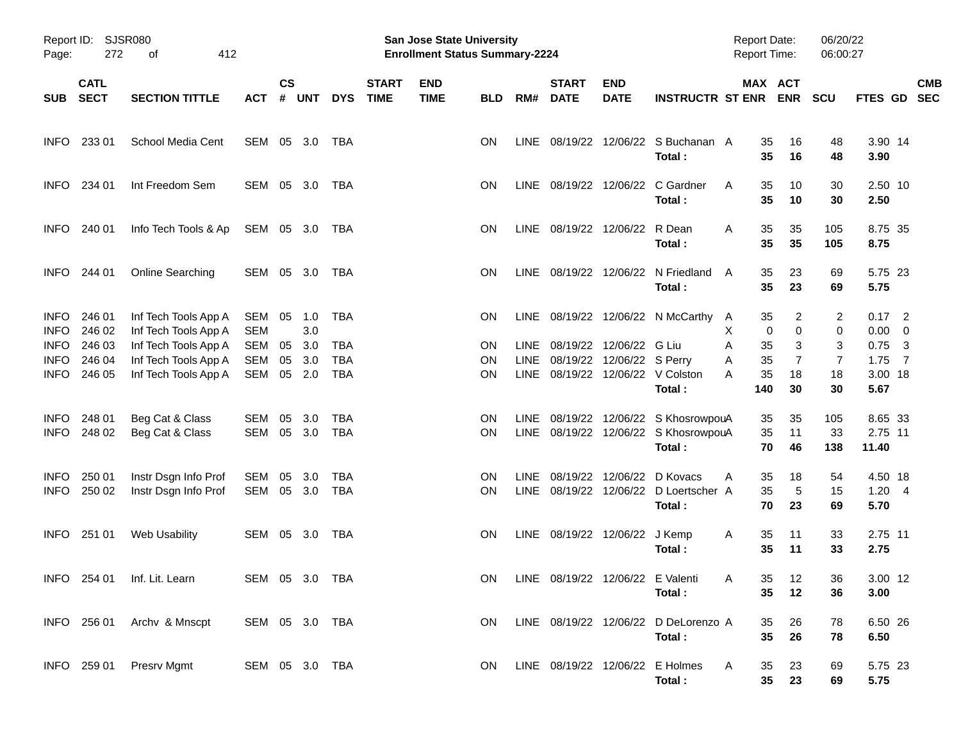| Page:                      | Report ID: SJSR080<br>272<br>412<br>оf |                                              |                   | <b>San Jose State University</b><br><b>Enrollment Status Summary-2224</b> |            |            |                             |                           |            |     |                             |                                |                                               | Report Date:<br>Report Time: |                       | 06/20/22<br>06:00:27 |                         |            |
|----------------------------|----------------------------------------|----------------------------------------------|-------------------|---------------------------------------------------------------------------|------------|------------|-----------------------------|---------------------------|------------|-----|-----------------------------|--------------------------------|-----------------------------------------------|------------------------------|-----------------------|----------------------|-------------------------|------------|
| SUB                        | <b>CATL</b><br><b>SECT</b>             | <b>SECTION TITTLE</b>                        | <b>ACT</b>        | <b>CS</b><br>#                                                            | <b>UNT</b> | <b>DYS</b> | <b>START</b><br><b>TIME</b> | <b>END</b><br><b>TIME</b> | <b>BLD</b> | RM# | <b>START</b><br><b>DATE</b> | <b>END</b><br><b>DATE</b>      | <b>INSTRUCTR ST ENR</b>                       |                              | MAX ACT<br><b>ENR</b> | <b>SCU</b>           | FTES GD SEC             | <b>CMB</b> |
| <b>INFO</b>                | 233 01                                 | School Media Cent                            | SEM 05 3.0        |                                                                           |            | TBA        |                             |                           | ON.        |     |                             |                                | LINE 08/19/22 12/06/22 S Buchanan A<br>Total: | 35<br>35                     | 16<br>16              | 48<br>48             | 3.90 14<br>3.90         |            |
| <b>INFO</b>                | 234 01                                 | Int Freedom Sem                              | SEM 05 3.0        |                                                                           |            | TBA        |                             |                           | ON.        |     |                             |                                | LINE 08/19/22 12/06/22 C Gardner<br>Total:    | 35<br>A<br>35                | 10<br>10              | 30<br>30             | 2.50 10<br>2.50         |            |
| <b>INFO</b>                | 240 01                                 | Info Tech Tools & Ap                         | SEM 05 3.0 TBA    |                                                                           |            |            |                             |                           | ON.        |     |                             | LINE 08/19/22 12/06/22 R Dean  | Total:                                        | 35<br>A<br>35                | 35<br>35              | 105<br>105           | 8.75 35<br>8.75         |            |
| <b>INFO</b>                | 244 01                                 | <b>Online Searching</b>                      | SEM 05 3.0        |                                                                           |            | TBA        |                             |                           | ON.        |     |                             |                                | LINE 08/19/22 12/06/22 N Friedland<br>Total:  | 35<br>A<br>35                | 23<br>23              | 69<br>69             | 5.75 23<br>5.75         |            |
| <b>INFO</b><br><b>INFO</b> | 246 01<br>246 02                       | Inf Tech Tools App A<br>Inf Tech Tools App A | SEM<br><b>SEM</b> | 05                                                                        | 1.0<br>3.0 | TBA        |                             |                           | ON.        |     |                             |                                | LINE 08/19/22 12/06/22 N McCarthy             | 35<br>A<br>X                 | 2<br>0<br>0           | 2<br>0               | $0.17$ 2<br>$0.00 \t 0$ |            |
| <b>INFO</b>                | 246 03                                 | Inf Tech Tools App A                         | <b>SEM</b>        | 05                                                                        | 3.0        | TBA        |                             |                           | ON         |     |                             | LINE 08/19/22 12/06/22 G Liu   |                                               | Α<br>35                      | 3                     | 3                    | $0.75$ 3                |            |
| <b>INFO</b>                | 246 04                                 | Inf Tech Tools App A                         | SEM               | 05                                                                        | 3.0        | <b>TBA</b> |                             |                           | <b>ON</b>  |     |                             | LINE 08/19/22 12/06/22 S Perry |                                               | 35<br>Α                      | 7                     | $\overline{7}$       | $1.75$ 7                |            |
| <b>INFO</b>                | 246 05                                 | Inf Tech Tools App A                         | SEM               | 05 2.0                                                                    |            | <b>TBA</b> |                             |                           | ON.        |     |                             |                                | LINE 08/19/22 12/06/22 V Colston<br>Total:    | 35<br>Α<br>140               | 18<br>30              | 18<br>30             | 3.00 18<br>5.67         |            |
| <b>INFO</b>                | 248 01                                 | Beg Cat & Class                              | SEM               | 05                                                                        | 3.0        | TBA        |                             |                           | <b>ON</b>  |     |                             |                                | LINE 08/19/22 12/06/22 S KhosrowpouA          | 35                           | 35                    | 105                  | 8.65 33                 |            |
| <b>INFO</b>                | 248 02                                 | Beg Cat & Class                              | SEM               | 05 3.0                                                                    |            | <b>TBA</b> |                             |                           | ON.        |     |                             |                                | LINE 08/19/22 12/06/22 S KhosrowpouA          | 35                           | 11                    | 33                   | 2.75 11                 |            |
|                            |                                        |                                              |                   |                                                                           |            |            |                             |                           |            |     |                             |                                | Total:                                        | 70                           | 46                    | 138                  | 11.40                   |            |
| <b>INFO</b>                | 250 01                                 | Instr Dsgn Info Prof                         | SEM               | 05                                                                        | 3.0        | TBA        |                             |                           | <b>ON</b>  |     |                             |                                | LINE 08/19/22 12/06/22 D Kovacs               | A<br>35                      | 18                    | 54                   | 4.50 18                 |            |
| <b>INFO</b>                | 250 02                                 | Instr Dsgn Info Prof                         | SEM               | 05 3.0                                                                    |            | <b>TBA</b> |                             |                           | ON.        |     |                             |                                | LINE 08/19/22 12/06/22 D Loertscher A         | 35                           | 5                     | 15                   | 1.20 4                  |            |
|                            |                                        |                                              |                   |                                                                           |            |            |                             |                           |            |     |                             |                                | Total:                                        | 70                           | 23                    | 69                   | 5.70                    |            |
| <b>INFO</b>                | 251 01                                 | Web Usability                                | SEM 05 3.0 TBA    |                                                                           |            |            |                             |                           | ON.        |     |                             | LINE 08/19/22 12/06/22 J Kemp  |                                               | 35<br>A                      | 11                    | 33                   | 2.75 11                 |            |
|                            |                                        |                                              |                   |                                                                           |            |            |                             |                           |            |     |                             |                                | Total:                                        | 35                           | 11                    | 33                   | 2.75                    |            |
|                            |                                        |                                              |                   |                                                                           |            |            |                             |                           |            |     |                             |                                |                                               |                              |                       |                      |                         |            |
|                            |                                        | INFO 254 01 Inf. Lit. Learn                  | SEM 05 3.0 TBA    |                                                                           |            |            |                             |                           |            |     |                             |                                | ON LINE 08/19/22 12/06/22 E Valenti           | $\overline{A}$               | 35 12                 | 36                   | 3.00 12                 |            |
|                            |                                        |                                              |                   |                                                                           |            |            |                             |                           |            |     |                             |                                | Total :                                       | 35                           | 12                    | 36                   | 3.00                    |            |
|                            |                                        | INFO 256 01 Archv & Mnscpt                   | SEM 05 3.0 TBA    |                                                                           |            |            |                             |                           | ON.        |     |                             |                                | LINE 08/19/22 12/06/22 D DeLorenzo A          | 35                           | 26                    | 78                   | 6.50 26                 |            |
|                            |                                        |                                              |                   |                                                                           |            |            |                             |                           |            |     |                             |                                | Total:                                        | 35                           | 26                    | 78                   | 6.50                    |            |
|                            |                                        |                                              |                   |                                                                           |            |            |                             |                           |            |     |                             |                                |                                               |                              |                       |                      |                         |            |
|                            |                                        | INFO 259 01 Presrv Mgmt                      | SEM 05 3.0 TBA    |                                                                           |            |            |                             |                           | ON.        |     |                             |                                | LINE 08/19/22 12/06/22 E Holmes               | A<br>35                      | 23                    | 69                   | 5.75 23                 |            |
|                            |                                        |                                              |                   |                                                                           |            |            |                             |                           |            |     |                             |                                | Total:                                        |                              | 35 23                 | 69                   | 5.75                    |            |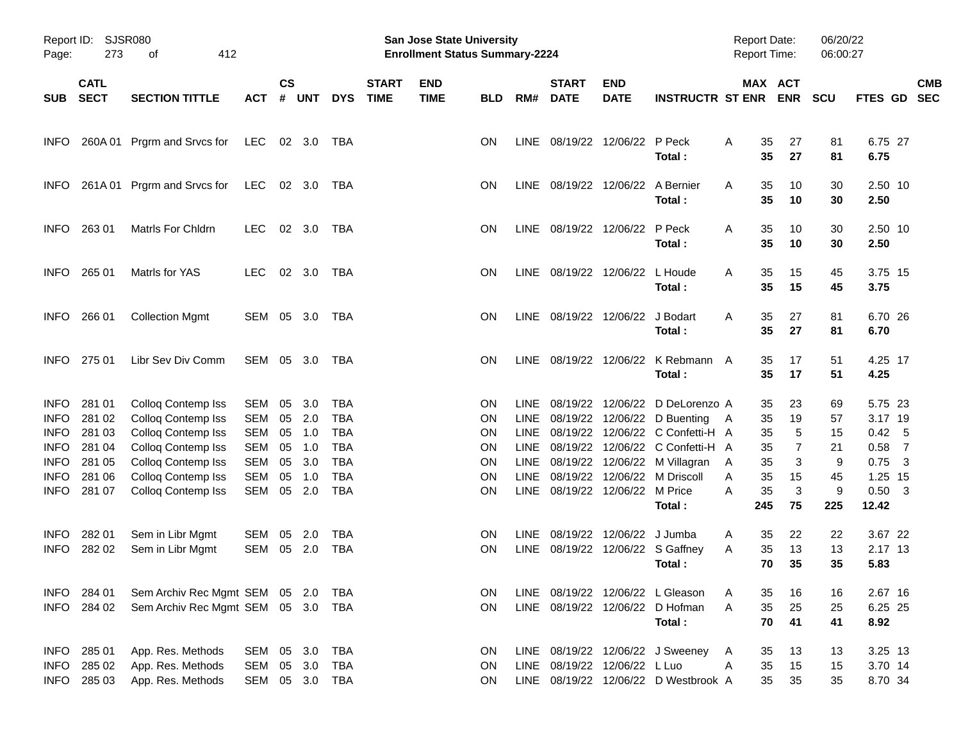| Report ID:<br>Page: | 273                        | SJSR080<br>412<br>οf           |            |                    |                |            |                             | San Jose State University<br><b>Enrollment Status Summary-2224</b> |            |             |                                  |                           |                                      | <b>Report Date:</b><br><b>Report Time:</b> |            | 06/20/22<br>06:00:27 |                 |                          |
|---------------------|----------------------------|--------------------------------|------------|--------------------|----------------|------------|-----------------------------|--------------------------------------------------------------------|------------|-------------|----------------------------------|---------------------------|--------------------------------------|--------------------------------------------|------------|----------------------|-----------------|--------------------------|
| <b>SUB</b>          | <b>CATL</b><br><b>SECT</b> | <b>SECTION TITTLE</b>          | <b>ACT</b> | $\mathsf{cs}$<br># | <b>UNT</b>     | <b>DYS</b> | <b>START</b><br><b>TIME</b> | <b>END</b><br><b>TIME</b>                                          | <b>BLD</b> | RM#         | <b>START</b><br><b>DATE</b>      | <b>END</b><br><b>DATE</b> | <b>INSTRUCTR ST ENR</b>              | MAX ACT                                    | <b>ENR</b> | <b>SCU</b>           | <b>FTES GD</b>  | <b>CMB</b><br><b>SEC</b> |
| <b>INFO</b>         | 260A 01                    | Prgrm and Srvcs for            | <b>LEC</b> |                    | 02 3.0         | TBA        |                             |                                                                    | ON.        |             | LINE 08/19/22 12/06/22 P Peck    |                           | Total:                               | Α<br>35<br>35                              | 27<br>27   | 81<br>81             | 6.75 27<br>6.75 |                          |
| <b>INFO</b>         | 261A01                     | Prgrm and Srvcs for            | <b>LEC</b> |                    | 02 3.0         | TBA        |                             |                                                                    | ON.        |             | LINE 08/19/22 12/06/22 A Bernier |                           | Total:                               | Α<br>35<br>35                              | 10<br>10   | 30<br>30             | 2.50 10<br>2.50 |                          |
| <b>INFO</b>         | 263 01                     | Matrls For Chldrn              | LEC.       |                    | 02 3.0         | TBA        |                             |                                                                    | ON.        |             | LINE 08/19/22 12/06/22           |                           | P Peck<br>Total:                     | Α<br>35<br>35                              | 10<br>10   | 30<br>30             | 2.50 10<br>2.50 |                          |
| <b>INFO</b>         | 265 01                     | Matrls for YAS                 | LEC.       |                    | $02 \quad 3.0$ | TBA        |                             |                                                                    | ON.        |             | LINE 08/19/22 12/06/22           |                           | L Houde<br>Total:                    | Α<br>35<br>35                              | 15<br>15   | 45<br>45             | 3.75 15<br>3.75 |                          |
| <b>INFO</b>         | 266 01                     | <b>Collection Mgmt</b>         | SEM        |                    | 05 3.0         | TBA        |                             |                                                                    | <b>ON</b>  |             | LINE 08/19/22 12/06/22           |                           | J Bodart<br>Total:                   | Α<br>35<br>35                              | 27<br>27   | 81<br>81             | 6.70 26<br>6.70 |                          |
| <b>INFO</b>         | 275 01                     | Libr Sev Div Comm              | SEM        |                    | 05 3.0         | TBA        |                             |                                                                    | <b>ON</b>  |             | LINE 08/19/22 12/06/22           |                           | K Rebmann A<br>Total:                | 35<br>35                                   | 17<br>17   | 51<br>51             | 4.25 17<br>4.25 |                          |
| <b>INFO</b>         | 281 01                     | Colloq Contemp Iss             | SEM        | 05                 | 3.0            | TBA        |                             |                                                                    | ON         | LINE.       |                                  |                           | 08/19/22 12/06/22 D DeLorenzo A      | 35                                         | 23         | 69                   | 5.75 23         |                          |
| <b>INFO</b>         | 281 02                     | Colloq Contemp Iss             | <b>SEM</b> | 05                 | 2.0            | <b>TBA</b> |                             |                                                                    | ON         | <b>LINE</b> |                                  | 08/19/22 12/06/22         | D Buenting                           | 35<br>A                                    | 19         | 57                   | 3.17 19         |                          |
| <b>INFO</b>         | 281 03                     | Colloq Contemp Iss             | <b>SEM</b> | 05                 | 1.0            | <b>TBA</b> |                             |                                                                    | ON         | <b>LINE</b> |                                  |                           | 08/19/22 12/06/22 C Confetti-H A     | 35                                         | 5          | 15                   | 0.42            | $-5$                     |
| <b>INFO</b>         | 281 04                     | Colloq Contemp Iss             | <b>SEM</b> | 05                 | 1.0            | <b>TBA</b> |                             |                                                                    | ON         | LINE        |                                  | 08/19/22 12/06/22         | C Confetti-H A                       | 35                                         | 7          | 21                   | 0.58            | $\overline{7}$           |
| <b>INFO</b>         | 281 05                     | Colloq Contemp Iss             | <b>SEM</b> | 05                 | 3.0            | <b>TBA</b> |                             |                                                                    | ON         | <b>LINE</b> |                                  | 08/19/22 12/06/22         | M Villagran                          | 35<br>A                                    | 3          | 9                    | 0.75            | $\overline{\mathbf{3}}$  |
| <b>INFO</b>         | 281 06                     | Colloq Contemp Iss             | <b>SEM</b> | 05                 | 1.0            | <b>TBA</b> |                             |                                                                    | ON         | <b>LINE</b> |                                  | 08/19/22 12/06/22         | M Driscoll                           | Α<br>35                                    | 15         | 45                   | 1.25 15         |                          |
| <b>INFO</b>         | 281 07                     | <b>Colloq Contemp Iss</b>      | <b>SEM</b> |                    | 05 2.0         | <b>TBA</b> |                             |                                                                    | ON         |             | LINE 08/19/22 12/06/22 M Price   |                           |                                      | A<br>35                                    | 3          | 9                    | $0.50$ 3        |                          |
|                     |                            |                                |            |                    |                |            |                             |                                                                    |            |             |                                  |                           | Total:                               | 245                                        | 75         | 225                  | 12.42           |                          |
| <b>INFO</b>         | 282 01                     | Sem in Libr Mgmt               | SEM        | 05                 | 2.0            | TBA        |                             |                                                                    | <b>ON</b>  | LINE.       |                                  | 08/19/22 12/06/22         | J Jumba                              | 35<br>A                                    | 22         | 22                   | 3.67 22         |                          |
| <b>INFO</b>         | 282 02                     | Sem in Libr Mgmt               | SEM        |                    | 05 2.0         | <b>TBA</b> |                             |                                                                    | ON         |             |                                  |                           | LINE 08/19/22 12/06/22 S Gaffney     | Α<br>35                                    | 13         | 13                   | 2.17 13         |                          |
|                     |                            |                                |            |                    |                |            |                             |                                                                    |            |             |                                  |                           | Total:                               | 70                                         | 35         | 35                   | 5.83            |                          |
|                     | INFO 284 01                | Sem Archiv Rec Mgmt SEM 05 2.0 |            |                    |                | TBA        |                             |                                                                    | ON.        |             |                                  |                           | LINE 08/19/22 12/06/22 L Gleason     | 35<br>A                                    | 16         | 16                   | 2.67 16         |                          |
| <b>INFO</b>         | 284 02                     | Sem Archiv Rec Mgmt SEM 05 3.0 |            |                    |                | TBA        |                             |                                                                    | ON         |             |                                  |                           | LINE 08/19/22 12/06/22 D Hofman      | Α<br>35                                    | 25         | 25                   | 6.25 25         |                          |
|                     |                            |                                |            |                    |                |            |                             |                                                                    |            |             |                                  |                           | Total:                               | 70                                         | 41         | 41                   | 8.92            |                          |
| <b>INFO</b>         | 285 01                     | App. Res. Methods              | SEM        |                    | 05 3.0         | <b>TBA</b> |                             |                                                                    | ON         |             |                                  |                           | LINE 08/19/22 12/06/22 J Sweeney     | 35<br>A                                    | 13         | 13                   | 3.25 13         |                          |
| <b>INFO</b>         | 285 02                     | App. Res. Methods              | <b>SEM</b> | 05                 | 3.0            | TBA        |                             |                                                                    | ON         |             | LINE 08/19/22 12/06/22 L Luo     |                           |                                      | 35<br>A                                    | 15         | 15                   | 3.70 14         |                          |
| <b>INFO</b>         | 285 03                     | App. Res. Methods              | SEM        |                    | 05 3.0         | TBA        |                             |                                                                    | ON         |             |                                  |                           | LINE 08/19/22 12/06/22 D Westbrook A | 35                                         | 35         | 35                   | 8.70 34         |                          |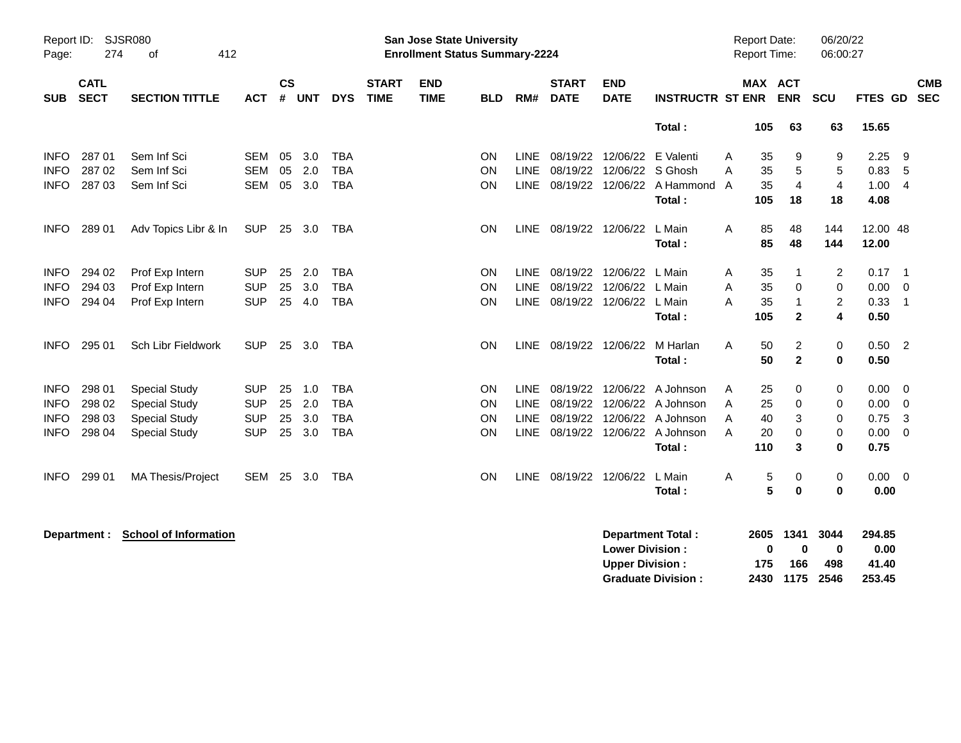| Report ID:<br>Page: | <b>SJSR080</b><br>274      | 412<br>οf                |            |                |            |            |                             | <b>San Jose State University</b><br><b>Enrollment Status Summary-2224</b> |            |             |                             |                           |                         |   | <b>Report Date:</b><br><b>Report Time:</b> |              | 06/20/22<br>06:00:27 |          |                          |  |
|---------------------|----------------------------|--------------------------|------------|----------------|------------|------------|-----------------------------|---------------------------------------------------------------------------|------------|-------------|-----------------------------|---------------------------|-------------------------|---|--------------------------------------------|--------------|----------------------|----------|--------------------------|--|
| <b>SUB</b>          | <b>CATL</b><br><b>SECT</b> | <b>SECTION TITTLE</b>    | <b>ACT</b> | <b>CS</b><br># | <b>UNT</b> | <b>DYS</b> | <b>START</b><br><b>TIME</b> | <b>END</b><br><b>TIME</b>                                                 | <b>BLD</b> | RM#         | <b>START</b><br><b>DATE</b> | <b>END</b><br><b>DATE</b> | <b>INSTRUCTR ST ENR</b> |   | MAX ACT                                    | <b>ENR</b>   | <b>SCU</b>           | FTES GD  | <b>CMB</b><br><b>SEC</b> |  |
|                     |                            |                          |            |                |            |            |                             |                                                                           |            |             |                             |                           | Total:                  |   | 105                                        | 63           | 63                   | 15.65    |                          |  |
| <b>INFO</b>         | 287 01                     | Sem Inf Sci              | <b>SEM</b> | 05             | 3.0        | <b>TBA</b> |                             |                                                                           | ON         | <b>LINE</b> | 08/19/22                    | 12/06/22                  | E Valenti               | A | 35                                         | 9            | 9                    | 2.25     | 9                        |  |
| <b>INFO</b>         | 287 02                     | Sem Inf Sci              | <b>SEM</b> | 05             | 2.0        | <b>TBA</b> |                             |                                                                           | ON         | <b>LINE</b> | 08/19/22                    | 12/06/22                  | S Ghosh                 | A | 35                                         | 5            | 5                    | 0.83     | 5                        |  |
| <b>INFO</b>         | 287 03                     | Sem Inf Sci              | <b>SEM</b> | 05             | 3.0        | <b>TBA</b> |                             |                                                                           | ON         | <b>LINE</b> | 08/19/22                    | 12/06/22                  | A Hammond A             |   | 35                                         | 4            | $\overline{4}$       | 1.00     | $\overline{4}$           |  |
|                     |                            |                          |            |                |            |            |                             |                                                                           |            |             |                             |                           | Total:                  |   | 105                                        | 18           | 18                   | 4.08     |                          |  |
| <b>INFO</b>         | 289 01                     | Adv Topics Libr & In     | <b>SUP</b> | 25             | 3.0        | <b>TBA</b> |                             |                                                                           | ON         | <b>LINE</b> | 08/19/22 12/06/22           |                           | L Main                  | A | 85                                         | 48           | 144                  | 12.00 48 |                          |  |
|                     |                            |                          |            |                |            |            |                             |                                                                           |            |             |                             |                           | Total:                  |   | 85                                         | 48           | 144                  | 12.00    |                          |  |
| <b>INFO</b>         | 294 02                     | Prof Exp Intern          | <b>SUP</b> | 25             | 2.0        | TBA        |                             |                                                                           | ON         | <b>LINE</b> | 08/19/22                    | 12/06/22                  | L Main                  | A | 35                                         | 1            | $\overline{c}$       | 0.17     | $\overline{1}$           |  |
| <b>INFO</b>         | 294 03                     | Prof Exp Intern          | <b>SUP</b> | 25             | 3.0        | <b>TBA</b> |                             |                                                                           | ON         | <b>LINE</b> | 08/19/22                    | 12/06/22                  | L Main                  | A | 35                                         | 0            | $\mathbf 0$          | 0.00     | $\Omega$                 |  |
| <b>INFO</b>         | 294 04                     | Prof Exp Intern          | <b>SUP</b> | 25             | 4.0        | <b>TBA</b> |                             |                                                                           | ON         | LINE        | 08/19/22                    | 12/06/22                  | L Main                  | A | 35                                         | 1            | $\overline{2}$       | 0.33     | -1                       |  |
|                     |                            |                          |            |                |            |            |                             |                                                                           |            |             |                             |                           | Total:                  |   | 105                                        | $\mathbf{2}$ | 4                    | 0.50     |                          |  |
| <b>INFO</b>         | 295 01                     | Sch Libr Fieldwork       | <b>SUP</b> | 25             | 3.0        | TBA        |                             |                                                                           | ON         | <b>LINE</b> | 08/19/22 12/06/22           |                           | M Harlan                | A | 50                                         | 2            | 0                    | $0.50$ 2 |                          |  |
|                     |                            |                          |            |                |            |            |                             |                                                                           |            |             |                             |                           | Total:                  |   | 50                                         | $\mathbf 2$  | $\bf{0}$             | 0.50     |                          |  |
| <b>INFO</b>         | 298 01                     | <b>Special Study</b>     | <b>SUP</b> | 25             | 1.0        | <b>TBA</b> |                             |                                                                           | ON         | <b>LINE</b> | 08/19/22                    | 12/06/22                  | A Johnson               | A | 25                                         | 0            | 0                    | 0.00     | $\overline{0}$           |  |
| <b>INFO</b>         | 298 02                     | <b>Special Study</b>     | <b>SUP</b> | 25             | 2.0        | <b>TBA</b> |                             |                                                                           | ON         | <b>LINE</b> | 08/19/22                    | 12/06/22                  | A Johnson               | A | 25                                         | 0            | 0                    | 0.00     | 0                        |  |
| <b>INFO</b>         | 298 03                     | <b>Special Study</b>     | <b>SUP</b> | 25             | 3.0        | <b>TBA</b> |                             |                                                                           | ON         | <b>LINE</b> | 08/19/22                    |                           | 12/06/22 A Johnson      | A | 40                                         | 3            | 0                    | 0.75     | 3                        |  |
| <b>INFO</b>         | 298 04                     | <b>Special Study</b>     | <b>SUP</b> | 25             | 3.0        | <b>TBA</b> |                             |                                                                           | ON         | <b>LINE</b> | 08/19/22 12/06/22           |                           | A Johnson               | A | 20                                         | 0            | 0                    | 0.00     | $\Omega$                 |  |
|                     |                            |                          |            |                |            |            |                             |                                                                           |            |             |                             |                           | Total:                  |   | 110                                        | 3            | 0                    | 0.75     |                          |  |
| <b>INFO</b>         | 299 01                     | <b>MA Thesis/Project</b> | <b>SEM</b> | 25             | 3.0        | TBA        |                             |                                                                           | ON         | <b>LINE</b> | 08/19/22                    | 12/06/22                  | L Main                  | A | 5                                          | 0            | 0                    | 0.00     | $\overline{\mathbf{0}}$  |  |
|                     |                            |                          |            |                |            |            |                             |                                                                           |            |             |                             |                           | Total:                  |   | 5                                          | $\bf{0}$     | 0                    | 0.00     |                          |  |

**Department : School of Information Department Total : 2605 1341 3044 294.85 Lower Division : 0 0 0 0.00 Upper Division : 175 166 498 41.40 Graduate Division : 2430 1175 2546 253.45**